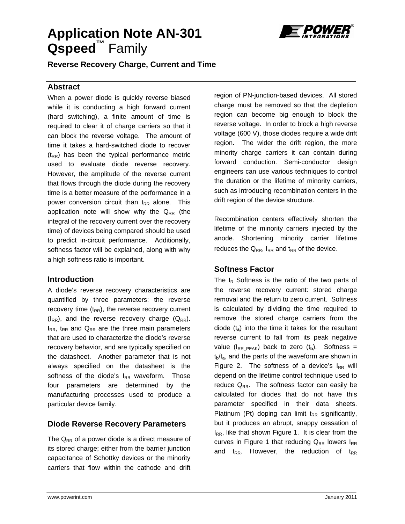# **Application Note AN-301 Qspeed™** Family



**Reverse Recovery Charge, Current and Time** 

### **Abstract**

When a power diode is quickly reverse biased while it is conducting a high forward current (hard switching), a finite amount of time is required to clear it of charge carriers so that it can block the reverse voltage. The amount of time it takes a hard-switched diode to recover  $(t_{RR})$  has been the typical performance metric used to evaluate diode reverse recovery. However, the amplitude of the reverse current that flows through the diode during the recovery time is a better measure of the performance in a power conversion circuit than  $t_{RR}$  alone. This application note will show why the  $Q_{RR}$  (the integral of the recovery current over the recovery time) of devices being compared should be used to predict in-circuit performance. Additionally, softness factor will be explained, along with why a high softness ratio is important.

### **Introduction**

A diode's reverse recovery characteristics are quantified by three parameters: the reverse recovery time  $(t_{RR})$ , the reverse recovery current  $(I_{RR})$ , and the reverse recovery charge  $(Q_{RR})$ .  $I_{RR}$ ,  $t_{RR}$  and  $Q_{RR}$  are the three main parameters that are used to characterize the diode's reverse recovery behavior, and are typically specified on the datasheet. Another parameter that is not always specified on the datasheet is the softness of the diode's  $I_{RR}$  waveform. Those four parameters are determined by the manufacturing processes used to produce a particular device family.

## **Diode Reverse Recovery Parameters**

The  $Q_{RR}$  of a power diode is a direct measure of its stored charge; either from the barrier junction capacitance of Schottky devices or the minority carriers that flow within the cathode and drift

region of PN-junction-based devices. All stored charge must be removed so that the depletion region can become big enough to block the reverse voltage. In order to block a high reverse voltage (600 V), those diodes require a wide drift region. The wider the drift region, the more minority charge carriers it can contain during forward conduction. Semi-conductor design engineers can use various techniques to control the duration or the lifetime of minority carriers, such as introducing recombination centers in the drift region of the device structure.

Recombination centers effectively shorten the lifetime of the minority carriers injected by the anode. Shortening minority carrier lifetime reduces the  $Q_{RR}$ ,  $I_{RR}$  and  $t_{RR}$  of the device.

## **Softness Factor**

The  $I_R$  Softness is the ratio of the two parts of the reverse recovery current: stored charge removal and the return to zero current. Softness is calculated by dividing the time required to remove the stored charge carriers from the diode (t**a**) into the time it takes for the resultant reverse current to fall from its peak negative value ( $I_{RRPEAK}$ ) back to zero ( $t_b$ ). Softness = t**b**/t**a**, and the parts of the waveform are shown in Figure 2. The softness of a device's  $I_{RR}$  will depend on the lifetime control technique used to reduce  $Q_{RR}$ . The softness factor can easily be calculated for diodes that do not have this parameter specified in their data sheets. Platinum (Pt) doping can limit  $t_{RR}$  significantly, but it produces an abrupt, snappy cessation of  $I_{RR}$ , like that shown Figure 1. It is clear from the curves in Figure 1 that reducing  $Q_{RR}$  lowers  $I_{RR}$ and  $t_{RR}$ . However, the reduction of  $t_{RR}$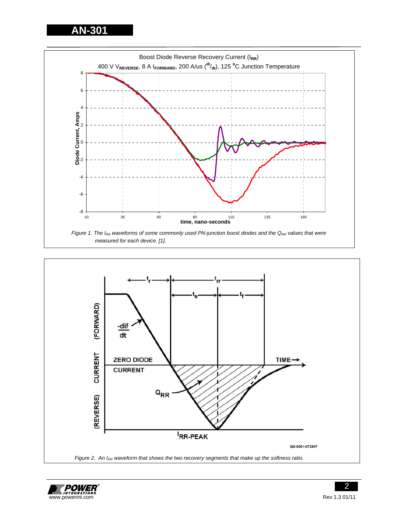**AN-301** 





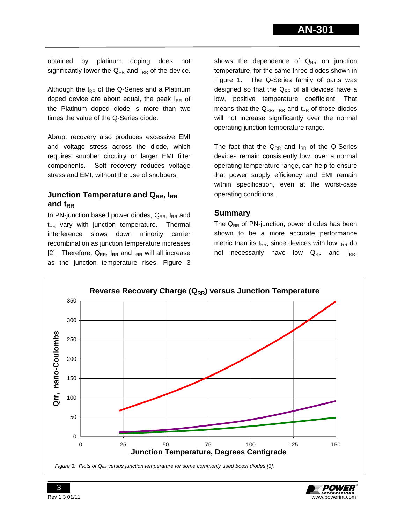obtained by platinum doping does not significantly lower the  $Q_{RR}$  and  $I_{RR}$  of the device.

Although the  $t_{RR}$  of the Q-Series and a Platinum doped device are about equal, the peak  $I_{RR}$  of the Platinum doped diode is more than two times the value of the Q-Series diode.

Abrupt recovery also produces excessive EMI and voltage stress across the diode, which requires snubber circuitry or larger EMI filter components. Soft recovery reduces voltage stress and EMI, without the use of snubbers.

# **Junction Temperature and QRR, IRR** and t<sub>RR</sub>

In PN-junction based power diodes,  $Q_{RR}$ ,  $I_{RR}$  and  $t_{RR}$  vary with junction temperature. Thermal interference slows down minority carrier recombination as junction temperature increases [2]. Therefore,  $Q_{RR}$ ,  $I_{RR}$  and  $t_{RR}$  will all increase as the junction temperature rises. Figure 3

shows the dependence of  $Q_{RR}$  on junction temperature, for the same three diodes shown in Figure 1. The Q-Series family of parts was designed so that the  $Q_{RR}$  of all devices have a low, positive temperature coefficient. That means that the  $Q_{RR}$ ,  $I_{RR}$  and  $t_{RR}$  of those diodes will not increase significantly over the normal operating junction temperature range.

The fact that the  $Q_{RR}$  and  $I_{RR}$  of the Q-Series devices remain consistently low, over a normal operating temperature range, can help to ensure that power supply efficiency and EMI remain within specification, even at the worst-case operating conditions.

### **Summary**

The  $Q_{RR}$  of PN-junction, power diodes has been shown to be a more accurate performance metric than its  $t_{RR}$ , since devices with low  $t_{RR}$  do not necessarily have low  $Q_{RR}$  and  $I_{RR}$ .



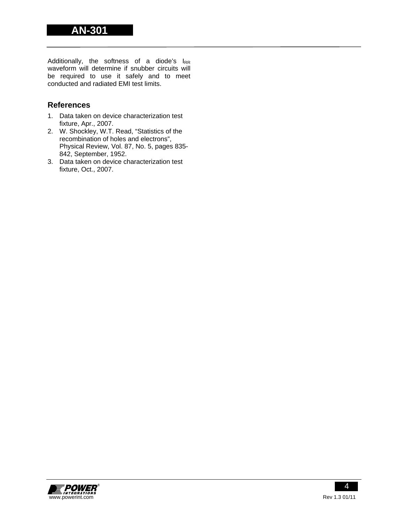Additionally, the softness of a diode's  $I_{RR}$ waveform will determine if snubber circuits will be required to use it safely and to meet conducted and radiated EMI test limits.

# **References**

- 1. Data taken on device characterization test fixture, Apr., 2007.
- 2. W. Shockley, W.T. Read, "Statistics of the recombination of holes and electrons", Physical Review, Vol. 87, No. 5, pages 835- 842, September, 1952.
- 3. Data taken on device characterization test fixture, Oct., 2007.

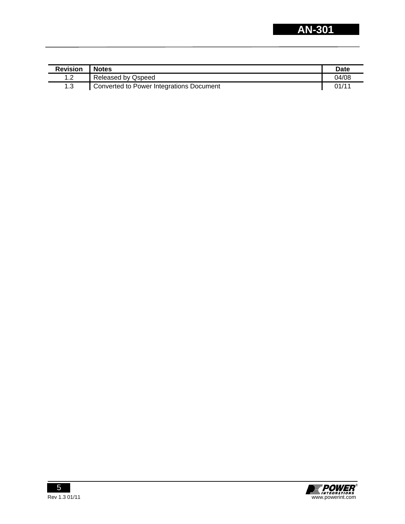| <b>Revision</b> | <b>Notes</b>                             | Date  |
|-----------------|------------------------------------------|-------|
| 10              | Released by Qspeed                       | 04/08 |
| 1.3             | Converted to Power Integrations Document | 01/11 |